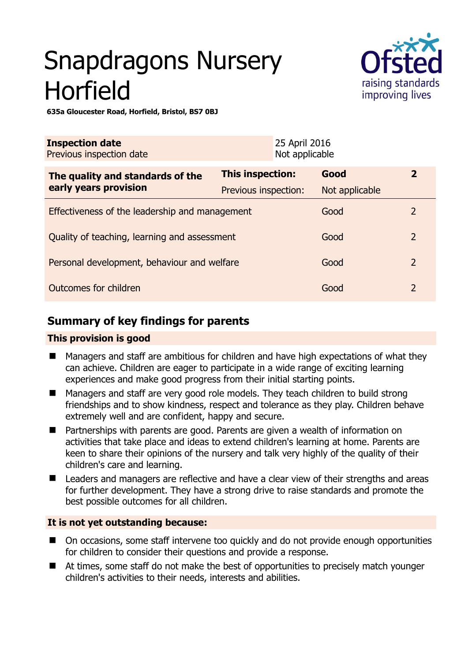# Snapdragons Nursery Horfield



**635a Gloucester Road, Horfield, Bristol, BS7 0BJ** 

| <b>Inspection date</b><br>Previous inspection date |                      | 25 April 2016<br>Not applicable |                |                |
|----------------------------------------------------|----------------------|---------------------------------|----------------|----------------|
| The quality and standards of the                   | This inspection:     |                                 | Good           | $\overline{2}$ |
| early years provision                              | Previous inspection: |                                 | Not applicable |                |
| Effectiveness of the leadership and management     |                      |                                 | Good           | 2              |
| Quality of teaching, learning and assessment       |                      |                                 | Good           | $\overline{2}$ |
| Personal development, behaviour and welfare        |                      |                                 | Good           | $\overline{2}$ |
| Outcomes for children                              |                      |                                 | Good           | $\overline{2}$ |

# **Summary of key findings for parents**

#### **This provision is good**

- Managers and staff are ambitious for children and have high expectations of what they can achieve. Children are eager to participate in a wide range of exciting learning experiences and make good progress from their initial starting points.
- Managers and staff are very good role models. They teach children to build strong friendships and to show kindness, respect and tolerance as they play. Children behave extremely well and are confident, happy and secure.
- Partnerships with parents are good. Parents are given a wealth of information on activities that take place and ideas to extend children's learning at home. Parents are keen to share their opinions of the nursery and talk very highly of the quality of their children's care and learning.
- Leaders and managers are reflective and have a clear view of their strengths and areas for further development. They have a strong drive to raise standards and promote the best possible outcomes for all children.

## **It is not yet outstanding because:**

- On occasions, some staff intervene too quickly and do not provide enough opportunities for children to consider their questions and provide a response.
- At times, some staff do not make the best of opportunities to precisely match younger children's activities to their needs, interests and abilities.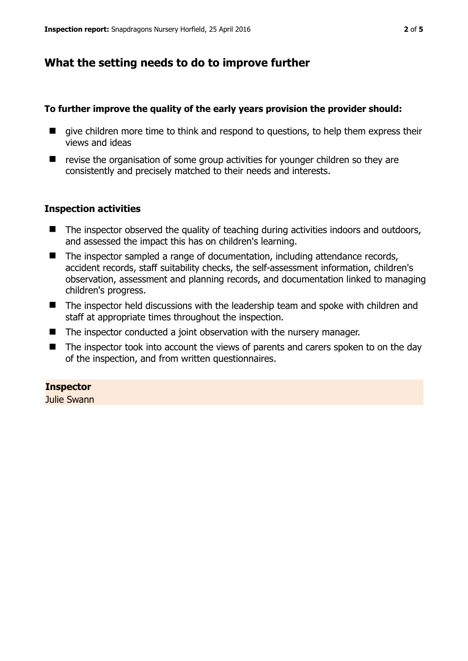# **What the setting needs to do to improve further**

#### **To further improve the quality of the early years provision the provider should:**

- $\blacksquare$  give children more time to think and respond to questions, to help them express their views and ideas
- $\blacksquare$  revise the organisation of some group activities for younger children so they are consistently and precisely matched to their needs and interests.

#### **Inspection activities**

- $\blacksquare$  The inspector observed the quality of teaching during activities indoors and outdoors, and assessed the impact this has on children's learning.
- The inspector sampled a range of documentation, including attendance records, accident records, staff suitability checks, the self-assessment information, children's observation, assessment and planning records, and documentation linked to managing children's progress.
- The inspector held discussions with the leadership team and spoke with children and staff at appropriate times throughout the inspection.
- The inspector conducted a joint observation with the nursery manager.
- The inspector took into account the views of parents and carers spoken to on the day of the inspection, and from written questionnaires.

#### **Inspector**

Julie Swann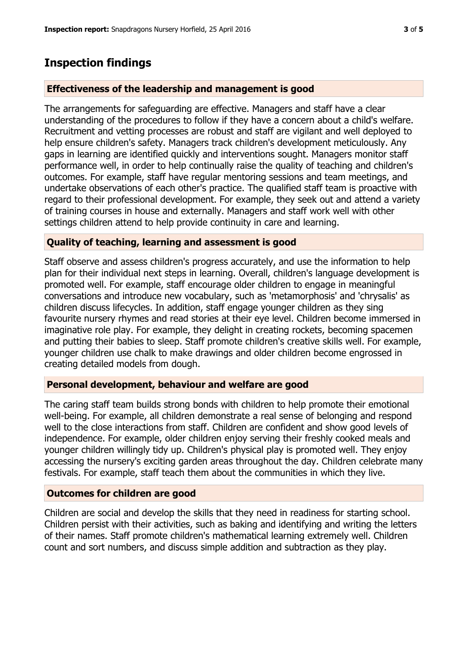## **Inspection findings**

#### **Effectiveness of the leadership and management is good**

The arrangements for safeguarding are effective. Managers and staff have a clear understanding of the procedures to follow if they have a concern about a child's welfare. Recruitment and vetting processes are robust and staff are vigilant and well deployed to help ensure children's safety. Managers track children's development meticulously. Any gaps in learning are identified quickly and interventions sought. Managers monitor staff performance well, in order to help continually raise the quality of teaching and children's outcomes. For example, staff have regular mentoring sessions and team meetings, and undertake observations of each other's practice. The qualified staff team is proactive with regard to their professional development. For example, they seek out and attend a variety of training courses in house and externally. Managers and staff work well with other settings children attend to help provide continuity in care and learning.

#### **Quality of teaching, learning and assessment is good**

Staff observe and assess children's progress accurately, and use the information to help plan for their individual next steps in learning. Overall, children's language development is promoted well. For example, staff encourage older children to engage in meaningful conversations and introduce new vocabulary, such as 'metamorphosis' and 'chrysalis' as children discuss lifecycles. In addition, staff engage younger children as they sing favourite nursery rhymes and read stories at their eye level. Children become immersed in imaginative role play. For example, they delight in creating rockets, becoming spacemen and putting their babies to sleep. Staff promote children's creative skills well. For example, younger children use chalk to make drawings and older children become engrossed in creating detailed models from dough.

### **Personal development, behaviour and welfare are good**

The caring staff team builds strong bonds with children to help promote their emotional well-being. For example, all children demonstrate a real sense of belonging and respond well to the close interactions from staff. Children are confident and show good levels of independence. For example, older children enjoy serving their freshly cooked meals and younger children willingly tidy up. Children's physical play is promoted well. They enjoy accessing the nursery's exciting garden areas throughout the day. Children celebrate many festivals. For example, staff teach them about the communities in which they live.

#### **Outcomes for children are good**

Children are social and develop the skills that they need in readiness for starting school. Children persist with their activities, such as baking and identifying and writing the letters of their names. Staff promote children's mathematical learning extremely well. Children count and sort numbers, and discuss simple addition and subtraction as they play.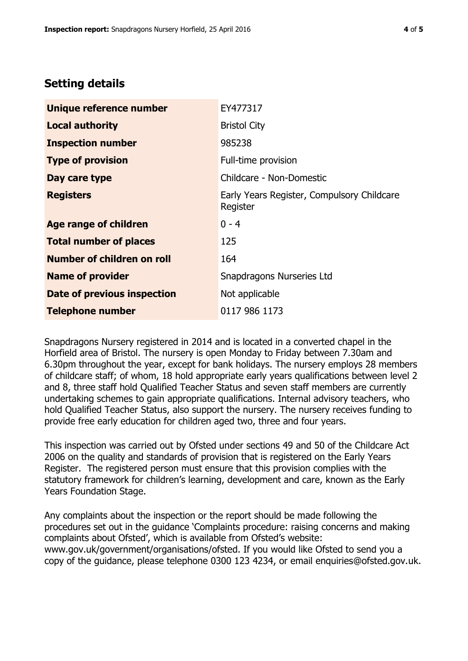# **Setting details**

| Unique reference number       | EY477317                                               |  |
|-------------------------------|--------------------------------------------------------|--|
| <b>Local authority</b>        | <b>Bristol City</b>                                    |  |
| <b>Inspection number</b>      | 985238                                                 |  |
| <b>Type of provision</b>      | Full-time provision                                    |  |
| Day care type                 | Childcare - Non-Domestic                               |  |
| <b>Registers</b>              | Early Years Register, Compulsory Childcare<br>Register |  |
| Age range of children         | $0 - 4$                                                |  |
| <b>Total number of places</b> | 125                                                    |  |
| Number of children on roll    | 164                                                    |  |
| <b>Name of provider</b>       | Snapdragons Nurseries Ltd                              |  |
| Date of previous inspection   | Not applicable                                         |  |
| <b>Telephone number</b>       | 0117 986 1173                                          |  |

Snapdragons Nursery registered in 2014 and is located in a converted chapel in the Horfield area of Bristol. The nursery is open Monday to Friday between 7.30am and 6.30pm throughout the year, except for bank holidays. The nursery employs 28 members of childcare staff; of whom, 18 hold appropriate early years qualifications between level 2 and 8, three staff hold Qualified Teacher Status and seven staff members are currently undertaking schemes to gain appropriate qualifications. Internal advisory teachers, who hold Qualified Teacher Status, also support the nursery. The nursery receives funding to provide free early education for children aged two, three and four years.

This inspection was carried out by Ofsted under sections 49 and 50 of the Childcare Act 2006 on the quality and standards of provision that is registered on the Early Years Register. The registered person must ensure that this provision complies with the statutory framework for children's learning, development and care, known as the Early Years Foundation Stage.

Any complaints about the inspection or the report should be made following the procedures set out in the guidance 'Complaints procedure: raising concerns and making complaints about Ofsted', which is available from Ofsted's website: www.gov.uk/government/organisations/ofsted. If you would like Ofsted to send you a copy of the guidance, please telephone 0300 123 4234, or email enquiries@ofsted.gov.uk.